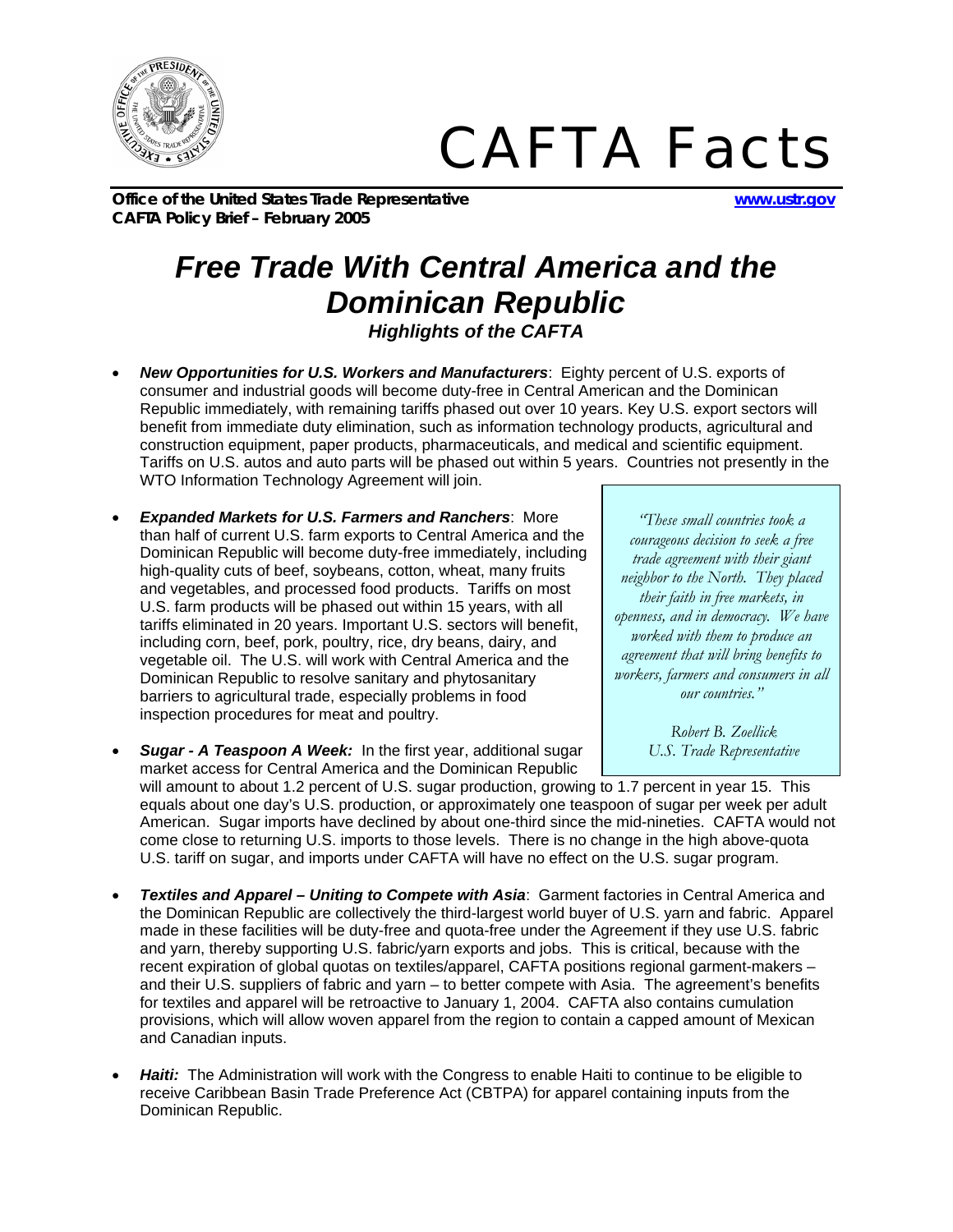

## *CAFTA Facts*

**Office of the United States Trade Representative www.ustr.gov CAFTA Policy Brief – February 2005**

## *Free Trade With Central America and the Dominican Republic Highlights of the CAFTA*

- *New Opportunities for U.S. Workers and Manufacturers*: Eighty percent of U.S. exports of consumer and industrial goods will become duty-free in Central American and the Dominican Republic immediately, with remaining tariffs phased out over 10 years. Key U.S. export sectors will benefit from immediate duty elimination, such as information technology products, agricultural and construction equipment, paper products, pharmaceuticals, and medical and scientific equipment. Tariffs on U.S. autos and auto parts will be phased out within 5 years. Countries not presently in the WTO Information Technology Agreement will join.
- *Expanded Markets for U.S. Farmers and Ranchers*: More than half of current U.S. farm exports to Central America and the Dominican Republic will become duty-free immediately, including high-quality cuts of beef, soybeans, cotton, wheat, many fruits and vegetables, and processed food products. Tariffs on most U.S. farm products will be phased out within 15 years, with all tariffs eliminated in 20 years. Important U.S. sectors will benefit, including corn, beef, pork, poultry, rice, dry beans, dairy, and vegetable oil. The U.S. will work with Central America and the Dominican Republic to resolve sanitary and phytosanitary barriers to agricultural trade, especially problems in food inspection procedures for meat and poultry.
- *Sugar A Teaspoon A Week:* In the first year, additional sugar market access for Central America and the Dominican Republic

*"These small countries took a courageous decision to seek a free trade agreement with their giant neighbor to the North. They placed their faith in free markets, in openness, and in democracy. We have worked with them to produce an agreement that will bring benefits to workers, farmers and consumers in all our countries."* 

> *Robert B. Zoellick U.S. Trade Representative*

will amount to about 1.2 percent of U.S. sugar production, growing to 1.7 percent in year 15. This equals about one day's U.S. production, or approximately one teaspoon of sugar per week per adult American. Sugar imports have declined by about one-third since the mid-nineties. CAFTA would not come close to returning U.S. imports to those levels. There is no change in the high above-quota U.S. tariff on sugar, and imports under CAFTA will have no effect on the U.S. sugar program.

- *Textiles and Apparel Uniting to Compete with Asia*: Garment factories in Central America and the Dominican Republic are collectively the third-largest world buyer of U.S. yarn and fabric. Apparel made in these facilities will be duty-free and quota-free under the Agreement if they use U.S. fabric and yarn, thereby supporting U.S. fabric/yarn exports and jobs. This is critical, because with the recent expiration of global quotas on textiles/apparel, CAFTA positions regional garment-makers – and their U.S. suppliers of fabric and yarn – to better compete with Asia. The agreement's benefits for textiles and apparel will be retroactive to January 1, 2004. CAFTA also contains cumulation provisions, which will allow woven apparel from the region to contain a capped amount of Mexican and Canadian inputs.
- *Haiti:* The Administration will work with the Congress to enable Haiti to continue to be eligible to receive Caribbean Basin Trade Preference Act (CBTPA) for apparel containing inputs from the Dominican Republic.